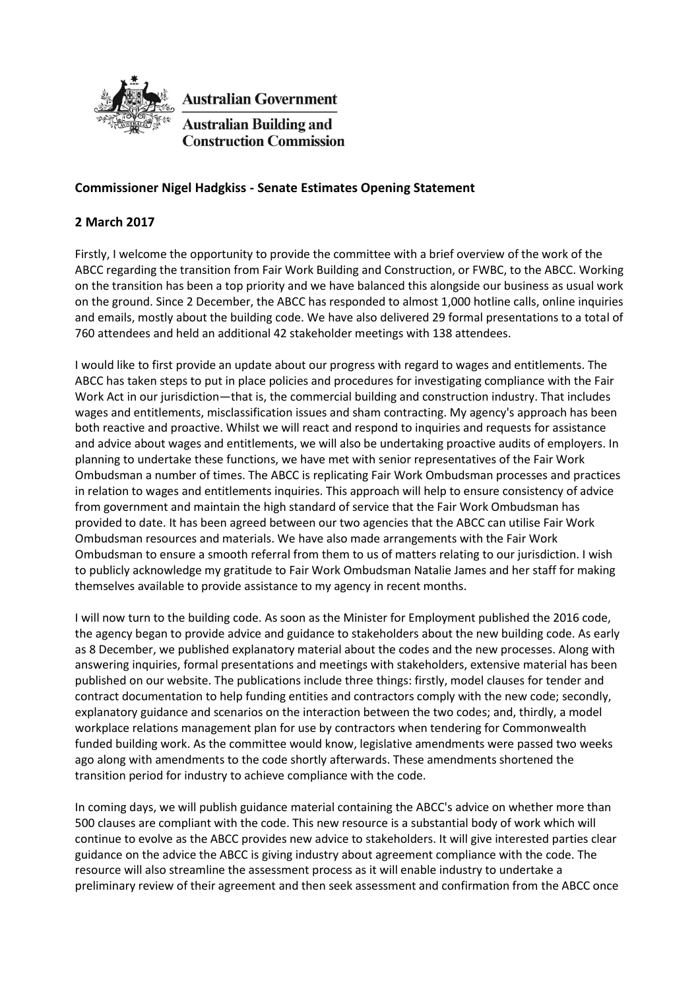

**Australian Government** 

Australian Building and **Construction Commission** 

## **Commissioner Nigel Hadgkiss - Senate Estimates Opening Statement**

## **2 March 2017**

Firstly, I welcome the opportunity to provide the committee with a brief overview of the work of the ABCC regarding the transition from Fair Work Building and Construction, or FWBC, to the ABCC. Working on the transition has been a top priority and we have balanced this alongside our business as usual work on the ground. Since 2 December, the ABCC has responded to almost 1,000 hotline calls, online inquiries and emails, mostly about the building code. We have also delivered 29 formal presentations to a total of 760 attendees and held an additional 42 stakeholder meetings with 138 attendees.

I would like to first provide an update about our progress with regard to wages and entitlements. The ABCC has taken steps to put in place policies and procedures for investigating compliance with the Fair Work Act in our jurisdiction—that is, the commercial building and construction industry. That includes wages and entitlements, misclassification issues and sham contracting. My agency's approach has been both reactive and proactive. Whilst we will react and respond to inquiries and requests for assistance and advice about wages and entitlements, we will also be undertaking proactive audits of employers. In planning to undertake these functions, we have met with senior representatives of the Fair Work Ombudsman a number of times. The ABCC is replicating Fair Work Ombudsman processes and practices in relation to wages and entitlements inquiries. This approach will help to ensure consistency of advice from government and maintain the high standard of service that the Fair Work Ombudsman has provided to date. It has been agreed between our two agencies that the ABCC can utilise Fair Work Ombudsman resources and materials. We have also made arrangements with the Fair Work Ombudsman to ensure a smooth referral from them to us of matters relating to our jurisdiction. I wish to publicly acknowledge my gratitude to Fair Work Ombudsman Natalie James and her staff for making themselves available to provide assistance to my agency in recent months.

I will now turn to the building code. As soon as the Minister for Employment published the 2016 code, the agency began to provide advice and guidance to stakeholders about the new building code. As early as 8 December, we published explanatory material about the codes and the new processes. Along with answering inquiries, formal presentations and meetings with stakeholders, extensive material has been published on our website. The publications include three things: firstly, model clauses for tender and contract documentation to help funding entities and contractors comply with the new code; secondly, explanatory guidance and scenarios on the interaction between the two codes; and, thirdly, a model workplace relations management plan for use by contractors when tendering for Commonwealth funded building work. As the committee would know, legislative amendments were passed two weeks ago along with amendments to the code shortly afterwards. These amendments shortened the transition period for industry to achieve compliance with the code.

In coming days, we will publish guidance material containing the ABCC's advice on whether more than 500 clauses are compliant with the code. This new resource is a substantial body of work which will continue to evolve as the ABCC provides new advice to stakeholders. It will give interested parties clear guidance on the advice the ABCC is giving industry about agreement compliance with the code. The resource will also streamline the assessment process as it will enable industry to undertake a preliminary review of their agreement and then seek assessment and confirmation from the ABCC once